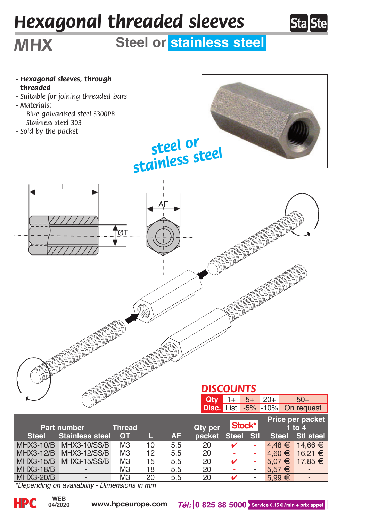## *Hexagonal threaded sleeves*



## *MHX* **Steel or stainless steel**



| Part number      |                        | Thread         |    |           | Qty per | Stock*       |                          | Price per packet<br>$1$ to $4$ |                |
|------------------|------------------------|----------------|----|-----------|---------|--------------|--------------------------|--------------------------------|----------------|
| <b>Steel</b>     | <b>Stainless steel</b> | ØT             |    | <b>AF</b> | packet  | <b>Steel</b> | <b>Stl</b>               | <b>Steel</b>                   | Stl steel      |
| MHX3-10/B        | <b>MHX3-10/SS/B</b>    | M <sub>3</sub> | 10 | 5.5       | 20      |              | ۰                        | $4.48 \in$                     | $14.66 \in$    |
| MHX3-12/B        | MHX3-12/SS/B           | M <sub>3</sub> | 12 | 5.5       | 20      |              | ٠                        | $4.60 \in$                     | 16.21 €        |
| <b>MHX3-15/B</b> | <b>MHX3-15/SS/B</b>    | M <sub>3</sub> | 15 | 5.5       | 20      |              | ٠                        | $5.07 \in$                     | $17.85 \in$    |
| MHX3-18/B        |                        | MЗ             | 18 | 5.5       | 20      |              | $\overline{\phantom{0}}$ | $5.57 \in$                     | -              |
| <b>MHX3-20/B</b> |                        | M <sub>3</sub> | 20 | 5.5       | 20      |              | -                        | $5.99 \in$                     | $\overline{a}$ |

*\*Depending on availability - Dimensions in mm*

**04/2020**

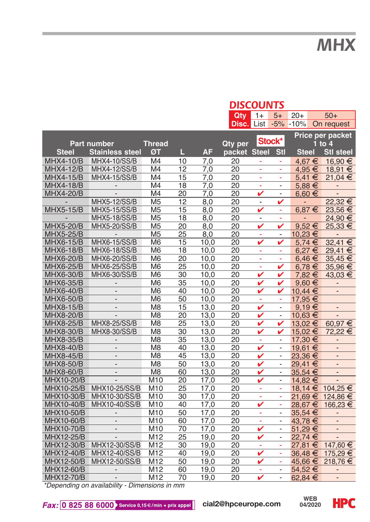*DISCOUNTS*

|                                               |                          |                     |                 |                         | <b>PISCOUNTS</b> |                          |                            |                          |  |                              |  |
|-----------------------------------------------|--------------------------|---------------------|-----------------|-------------------------|------------------|--------------------------|----------------------------|--------------------------|--|------------------------------|--|
|                                               |                          |                     |                 |                         | Qty              | $1+$                     | $5+$                       | $20+$                    |  | $50+$                        |  |
|                                               |                          |                     |                 |                         | Disc.            | List                     |                            |                          |  | -5% -10% On request          |  |
|                                               |                          |                     |                 |                         |                  |                          |                            |                          |  | Price per packet             |  |
|                                               | Part number              |                     |                 |                         |                  |                          | Stock*                     |                          |  |                              |  |
|                                               |                          | <b>Thread</b><br>ØT | Ш               | Qty per<br>packet Steel |                  | Stl                      | $1$ to $4$<br><b>Steel</b> |                          |  |                              |  |
| <b>Steel</b>                                  | <b>Stainless steel</b>   |                     |                 | <b>AF</b>               |                  |                          |                            |                          |  | <b>Stl steel</b>             |  |
| <b>MHX4-10/B</b>                              | <b>MHX4-10/SS/B</b>      | M4                  | 10              | 7,0                     | 20               | ÷,                       | ä,                         | 4.67 €                   |  | 16,90 €                      |  |
| <b>MHX4-12/B</b>                              | <b>MHX4-12/SS/B</b>      | M4                  | 12              | 7,0                     | 20               | ä,                       | ÷,                         | 4.95 €                   |  | 18,91 €                      |  |
| <b>MHX4-15/B</b>                              | <b>MHX4-15/SS/B</b>      | M4                  | 15              | 7.0                     | $\overline{20}$  | ä,                       | ä,                         | 5,41 €                   |  | 21,04 €                      |  |
| <b>MHX4-18/B</b>                              | $\overline{\phantom{a}}$ | M4                  | 18              | 7,0                     | 20               | ÷.                       | $\overline{\phantom{a}}$   | $5,88 \in$               |  | $\overline{\phantom{a}}$     |  |
| <b>MHX4-20/B</b>                              | $\overline{a}$           | M4                  | 20              | 7,0                     | 20               | v                        | $\overline{\phantom{a}}$   | $6,60 \in$               |  | $\overline{a}$               |  |
|                                               | <b>MHX5-12/SS/B</b>      | M <sub>5</sub>      | 12              | 8.0                     | 20               | $\blacksquare$           | V                          | $\overline{\phantom{a}}$ |  | $22,32 \in$                  |  |
| <b>MHX5-15/B</b>                              | <b>MHX5-15/SS/B</b>      | M <sub>5</sub>      | 15              | 8,0                     | 20               | v                        | ÷                          | $6,87 \in$               |  | 23,56 €                      |  |
|                                               | <b>MHX5-18/SS/B</b>      | M <sub>5</sub>      | 18              | 8,0                     | 20               | $\overline{\phantom{a}}$ | ä,                         | $\overline{\phantom{a}}$ |  | 24,90 €                      |  |
| <b>MHX5-20/B</b>                              | <b>MHX5-20/SS/B</b>      | M <sub>5</sub>      | 20              | 8,0                     | 20               | v                        | V                          | $9.52 \in$               |  | 25.33 €                      |  |
| <b>MHX5-25/B</b>                              | $\overline{\phantom{a}}$ | M <sub>5</sub>      | 25              | 8,0                     | 20               | ÷,                       | $\overline{\phantom{a}}$   | 10,23 €                  |  | $\overline{\phantom{a}}$     |  |
| <b>MHX6-15/B</b>                              | <b>MHX6-15/SS/B</b>      | M <sub>6</sub>      | 15              | 10,0                    | 20               | v                        | v                          | $5,74 \in$               |  | 32,41 €                      |  |
| <b>MHX6-18/B</b>                              | MHX6-18/SS/B             | M <sub>6</sub>      | 18              | 10,0                    | 20               | ÷,                       | ۳                          | 6.27€                    |  | 29,41 €                      |  |
| MHX6-20/B                                     | MHX6-20/SS/B             | M <sub>6</sub>      | 20              | 10,0                    | 20               | ÷,                       | ä,                         | $6,46 \in$               |  | $35,45 \in$                  |  |
| <b>MHX6-25/B</b>                              | MHX6-25/SS/B             | M <sub>6</sub>      | 25              | 10,0                    | 20               | ÷                        | v                          | $6,78 \in$               |  | 35,96 €                      |  |
| <b>MHX6-30/B</b>                              | MHX6-30/SS/B             | M <sub>6</sub>      | 30              | 10,0                    | 20               | v                        | v                          | 7,82€                    |  | 43,03 €                      |  |
| MHX6-35/B                                     | $\overline{\phantom{a}}$ | M <sub>6</sub>      | 35              | 10,0                    | 20               | v                        | v                          | $9,60 \in$               |  | $\overline{\phantom{a}}$     |  |
| MHX6-40/B                                     | $\overline{a}$           | M <sub>6</sub>      | 40              | 10,0                    | 20               | v                        | v                          | 10,44 €                  |  | $\overline{\phantom{m}}$     |  |
| <b>MHX6-50/B</b>                              | $\overline{a}$           | M <sub>6</sub>      | 50              | 10.0                    | 20               | ä,                       | ä,                         | 17,95 €                  |  |                              |  |
| <b>MHX8-15/B</b>                              | $\overline{a}$           | M8                  | 15              | 13,0                    | 20               | v                        | $\overline{\phantom{a}}$   | $9,19 \in$               |  | $\qquad \qquad \blacksquare$ |  |
| <b>MHX8-20/B</b>                              | $\overline{a}$           | M <sub>8</sub>      | $\overline{20}$ | 13,0                    | 20               | v                        | $\overline{a}$             | 10,63 €                  |  |                              |  |
| <b>MHX8-25/B</b>                              | <b>MHX8-25/SS/B</b>      | M <sub>8</sub>      | 25              | 13,0                    | 20               | v                        | v                          | 13.02 €                  |  | 60,97€                       |  |
| <b>MHX8-30/B</b>                              | MHX8-30/SS/B             | M <sub>8</sub>      | 30              | 13,0                    | 20               | ✓                        | v                          | 15,02€                   |  | 72,22 €                      |  |
| <b>MHX8-35/B</b>                              | $\overline{a}$           | M <sub>8</sub>      | 35              | 13,0                    | 20               | ÷.                       | ÷.                         | 17,30 €                  |  | $\overline{\phantom{a}}$     |  |
| <b>MHX8-40/B</b>                              | $\overline{a}$           | M <sub>8</sub>      | 40              | 13,0                    | 20               | V                        | $\overline{\phantom{0}}$   | 19,61 €                  |  | $\overline{a}$               |  |
| <b>MHX8-45/B</b>                              | $\overline{a}$           | M <sub>8</sub>      | 45              | 13,0                    | 20               | v                        | $\overline{\phantom{0}}$   | 23.36 €                  |  | $\frac{1}{2}$                |  |
| MHX8-50/B                                     | $\overline{a}$           | M <sub>8</sub>      | 50              | 13,0                    | 20               | v                        | $\overline{\phantom{0}}$   | 29,41 €                  |  | $\frac{1}{2}$                |  |
| MHX8-60/B                                     | $\overline{a}$           | M <sub>8</sub>      | 60              | 13,0                    | 20               | v                        | $\overline{\phantom{0}}$   | 35.54 €                  |  | $\overline{a}$               |  |
| MHX10-20/B                                    | $\overline{a}$           | M <sub>10</sub>     | 20              | 17,0                    | 20               | v                        | $\overline{\phantom{a}}$   | 14,82 €                  |  | $\frac{1}{2}$                |  |
| MHX10-25/B                                    | MHX10-25/SS/B            | M10                 | 25              | 17,0                    | 20               | ÷,<br>t                  | ÷,                         |                          |  | 18,14 € 104,25 €             |  |
| MHX10-30/B                                    | MHX10-30/SS/B            | M10                 | 30              | 17,0                    | 20               |                          | Ξ                          | 21,69€                   |  | 124,86 €                     |  |
| MHX10-40/B                                    | MHX10-40/SS/B            | M <sub>10</sub>     | 40              | 17,0                    | 20               | V                        | ÷                          | 28,67 €                  |  | 166,23 €                     |  |
| MHX10-50/B                                    |                          | M10                 | 50              | 17,0                    | 20               | ÷,                       | $\overline{\phantom{a}}$   | 35,54 €                  |  |                              |  |
| MHX10-60/B                                    | $\overline{a}$           | M <sub>10</sub>     | 60              | 17,0                    | 20               | ÷,                       | $\overline{\phantom{0}}$   | 43,78 €                  |  | $\qquad \qquad \blacksquare$ |  |
| <b>MHX10-70/B</b>                             | $\overline{\phantom{a}}$ | M <sub>10</sub>     | 70              | 17.0                    | 20               | v                        | $\overline{\phantom{0}}$   | 51,29€                   |  | $\qquad \qquad \blacksquare$ |  |
| MHX12-25/B                                    | $\overline{a}$           | M <sub>12</sub>     | 25              | 19,0                    | 20               | v                        | Ξ                          | 22.74 €                  |  | $\overline{a}$               |  |
| MHX12-30/B                                    | MHX12-30/SS/B            | M12                 | 30              | 19,0                    | 20               | ÷,                       | ÷,                         | 27,81 €                  |  | 147,60 €                     |  |
| MHX12-40/B                                    | MHX12-40/SS/B            | M <sub>12</sub>     | 40              | 19.0                    | 20               | v                        | ä,                         | 36,48 €                  |  | 175,29 €                     |  |
| MHX12-50/B                                    | MHX12-50/SS/B            | M12                 | 50              | 19,0                    | 20               | v                        | ÷,                         | 45,66 €                  |  | 218,76 €                     |  |
| MHX12-60/B                                    | $\overline{\phantom{a}}$ | M12                 | 60              | 19.0                    | 20               | ۰                        | $\overline{\phantom{0}}$   | 54.52€                   |  | $\qquad \qquad \blacksquare$ |  |
| <b>MHX12-70/B</b>                             | $\overline{a}$           | M12                 | 70              | 19,0                    | 20               | V                        | ÷.                         | 62,84 €                  |  | $\qquad \qquad \blacksquare$ |  |
| *Depending on availability - Dimensions in mm |                          |                     |                 |                         |                  |                          |                            |                          |  |                              |  |



**HPC**